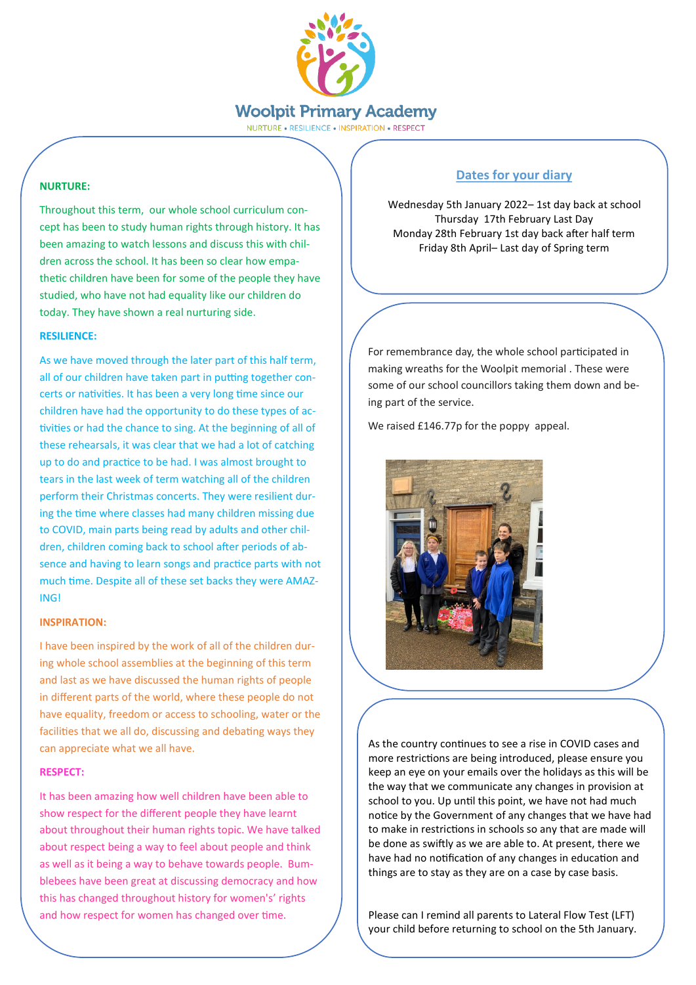

NURTURE . RESILIENCE . INSPIRATION . RESPECT

# **NURTURE:**

Throughout this term, our whole school curriculum concept has been to study human rights through history. It has been amazing to watch lessons and discuss this with children across the school. It has been so clear how empathetic children have been for some of the people they have studied, who have not had equality like our children do today. They have shown a real nurturing side.

## **RESILIENCE:**

As we have moved through the later part of this half term, all of our children have taken part in putting together concerts or nativities. It has been a very long time since our children have had the opportunity to do these types of activities or had the chance to sing. At the beginning of all of these rehearsals, it was clear that we had a lot of catching up to do and practice to be had. I was almost brought to tears in the last week of term watching all of the children perform their Christmas concerts. They were resilient during the time where classes had many children missing due to COVID, main parts being read by adults and other children, children coming back to school after periods of absence and having to learn songs and practice parts with not much time. Despite all of these set backs they were AMAZ-ING!

## **INSPIRATION:**

I have been inspired by the work of all of the children during whole school assemblies at the beginning of this term and last as we have discussed the human rights of people in different parts of the world, where these people do not have equality, freedom or access to schooling, water or the facilities that we all do, discussing and debating ways they can appreciate what we all have.

## **RESPECT:**

It has been amazing how well children have been able to show respect for the different people they have learnt about throughout their human rights topic. We have talked about respect being a way to feel about people and think as well as it being a way to behave towards people. Bumblebees have been great at discussing democracy and how this has changed throughout history for women's' rights and how respect for women has changed over time.

# **Dates for your diary**

Wednesday 5th January 2022– 1st day back at school Thursday 17th February Last Day Monday 28th February 1st day back after half term Friday 8th April– Last day of Spring term

For remembrance day, the whole school participated in making wreaths for the Woolpit memorial . These were some of our school councillors taking them down and being part of the service.

We raised £146.77p for the poppy appeal.



As the country continues to see a rise in COVID cases and more restrictions are being introduced, please ensure you keep an eye on your emails over the holidays as this will be the way that we communicate any changes in provision at school to you. Up until this point, we have not had much notice by the Government of any changes that we have had to make in restrictions in schools so any that are made will be done as swiftly as we are able to. At present, there we have had no notification of any changes in education and things are to stay as they are on a case by case basis.

Please can I remind all parents to Lateral Flow Test (LFT) your child before returning to school on the 5th January.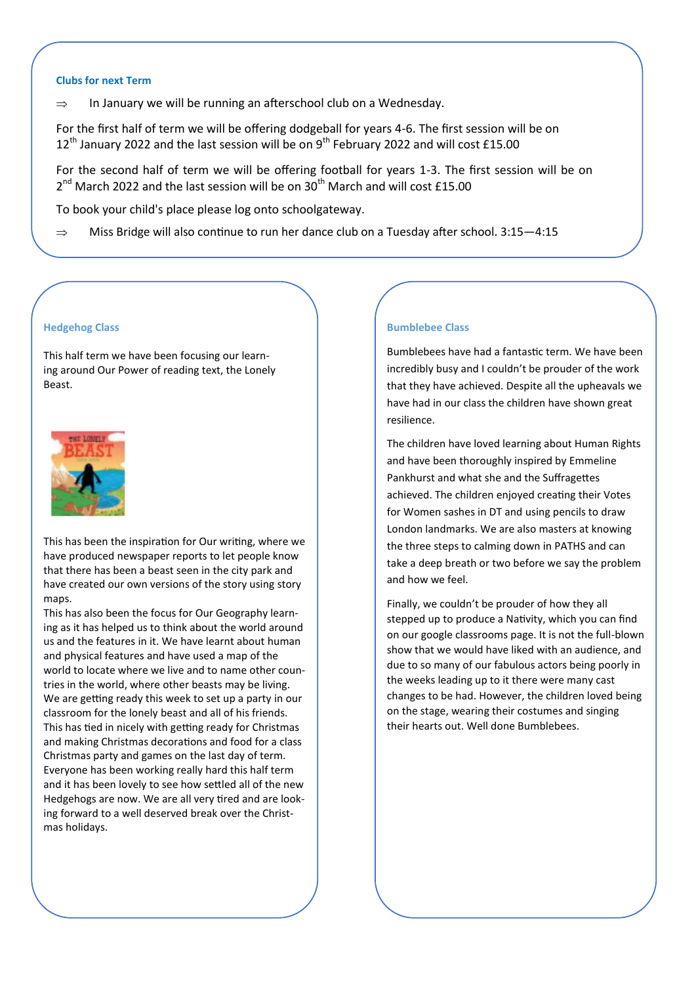#### **Clubs for next Term**

 $\Rightarrow$  In January we will be running an afterschool club on a Wednesday.

For the first half of term we will be offering dodgeball for years 4-6. The first session will be on  $12<sup>th</sup>$  January 2022 and the last session will be on 9<sup>th</sup> February 2022 and will cost £15.00

For the second half of term we will be offering football for years 1-3. The first session will be on  $2^{nd}$  March 2022 and the last session will be on 30<sup>th</sup> March and will cost £15.00

To book your child's place please log onto schoolgateway.

 $\Rightarrow$  Miss Bridge will also continue to run her dance club on a Tuesday after school. 3:15–4:15

## **Hedgehog Class**

This half term we have been focusing our learning around Our Power of reading text, the Lonely Beast.



This has been the inspiration for Our writing, where we have produced newspaper reports to let people know that there has been a beast seen in the city park and have created our own versions of the story using story maps.

This has also been the focus for Our Geography learning as it has helped us to think about the world around us and the features in it. We have learnt about human and physical features and have used a map of the world to locate where we live and to name other countries in the world, where other beasts may be living. We are getting ready this week to set up a party in our classroom for the lonely beast and all of his friends. This has tied in nicely with getting ready for Christmas and making Christmas decorations and food for a class Christmas party and games on the last day of term. Everyone has been working really hard this half term and it has been lovely to see how settled all of the new Hedgehogs are now. We are all very tired and are looking forward to a well deserved break over the Christmas holidays.

### **Bumblebee Class**

Bumblebees have had a fantastic term. We have been incredibly busy and I couldn't be prouder of the work that they have achieved. Despite all the upheavals we have had in our class the children have shown great resilience.

The children have loved learning about Human Rights and have been thoroughly inspired by Emmeline Pankhurst and what she and the Suffragettes achieved. The children enjoyed creating their Votes for Women sashes in DT and using pencils to draw London landmarks. We are also masters at knowing the three steps to calming down in PATHS and can take a deep breath or two before we say the problem and how we feel.

Finally, we couldn't be prouder of how they all stepped up to produce a Nativity, which you can find on our google classrooms page. It is not the full-blown show that we would have liked with an audience, and due to so many of our fabulous actors being poorly in the weeks leading up to it there were many cast changes to be had. However, the children loved being on the stage, wearing their costumes and singing their hearts out. Well done Bumblebees.